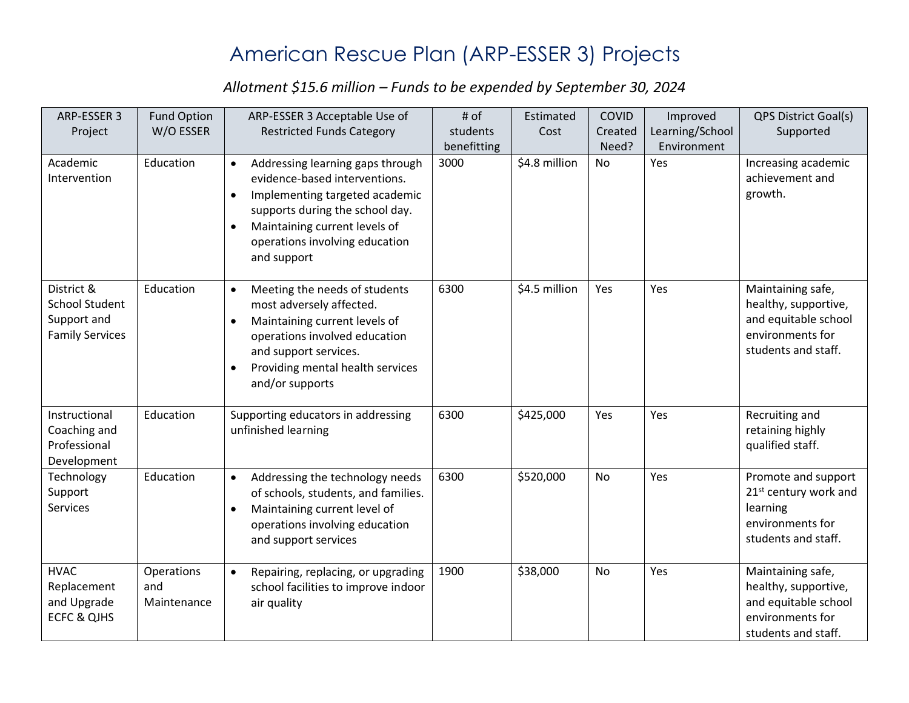## American Rescue Plan (ARP-ESSER 3) Projects

## *Allotment \$15.6 million – Funds to be expended by September 30, 2024*

| ARP-ESSER 3            | <b>Fund Option</b> | ARP-ESSER 3 Acceptable Use of                 | # of        | Estimated     | COVID     | Improved        | <b>QPS District Goal(s)</b>       |
|------------------------|--------------------|-----------------------------------------------|-------------|---------------|-----------|-----------------|-----------------------------------|
| Project                | W/O ESSER          | <b>Restricted Funds Category</b>              | students    | Cost          | Created   | Learning/School | Supported                         |
|                        |                    |                                               | benefitting |               | Need?     | Environment     |                                   |
| Academic               | Education          | Addressing learning gaps through              | 3000        | \$4.8 million | <b>No</b> | Yes             | Increasing academic               |
| Intervention           |                    | evidence-based interventions.                 |             |               |           |                 | achievement and                   |
|                        |                    | Implementing targeted academic<br>$\bullet$   |             |               |           |                 | growth.                           |
|                        |                    | supports during the school day.               |             |               |           |                 |                                   |
|                        |                    | Maintaining current levels of<br>$\bullet$    |             |               |           |                 |                                   |
|                        |                    | operations involving education<br>and support |             |               |           |                 |                                   |
|                        |                    |                                               |             |               |           |                 |                                   |
| District &             | Education          | Meeting the needs of students<br>$\bullet$    | 6300        | \$4.5 million | Yes       | Yes             | Maintaining safe,                 |
| <b>School Student</b>  |                    | most adversely affected.                      |             |               |           |                 | healthy, supportive,              |
| Support and            |                    | Maintaining current levels of<br>$\bullet$    |             |               |           |                 | and equitable school              |
| <b>Family Services</b> |                    | operations involved education                 |             |               |           |                 | environments for                  |
|                        |                    | and support services.                         |             |               |           |                 | students and staff.               |
|                        |                    | Providing mental health services<br>$\bullet$ |             |               |           |                 |                                   |
|                        |                    | and/or supports                               |             |               |           |                 |                                   |
| Instructional          | Education          | Supporting educators in addressing            | 6300        | \$425,000     | Yes       | Yes             | Recruiting and                    |
| Coaching and           |                    | unfinished learning                           |             |               |           |                 | retaining highly                  |
| Professional           |                    |                                               |             |               |           |                 | qualified staff.                  |
| Development            |                    |                                               |             |               |           |                 |                                   |
| Technology             | Education          | Addressing the technology needs<br>$\bullet$  | 6300        | \$520,000     | No        | Yes             | Promote and support               |
| Support                |                    | of schools, students, and families.           |             |               |           |                 | 21 <sup>st</sup> century work and |
| Services               |                    | Maintaining current level of<br>$\bullet$     |             |               |           |                 | learning                          |
|                        |                    | operations involving education                |             |               |           |                 | environments for                  |
|                        |                    | and support services                          |             |               |           |                 | students and staff.               |
| <b>HVAC</b>            | Operations         | Repairing, replacing, or upgrading            | 1900        | \$38,000      | No        | Yes             | Maintaining safe,                 |
| Replacement            | and                | school facilities to improve indoor           |             |               |           |                 | healthy, supportive,              |
| and Upgrade            | Maintenance        | air quality                                   |             |               |           |                 | and equitable school              |
| <b>ECFC &amp; QJHS</b> |                    |                                               |             |               |           |                 | environments for                  |
|                        |                    |                                               |             |               |           |                 | students and staff.               |